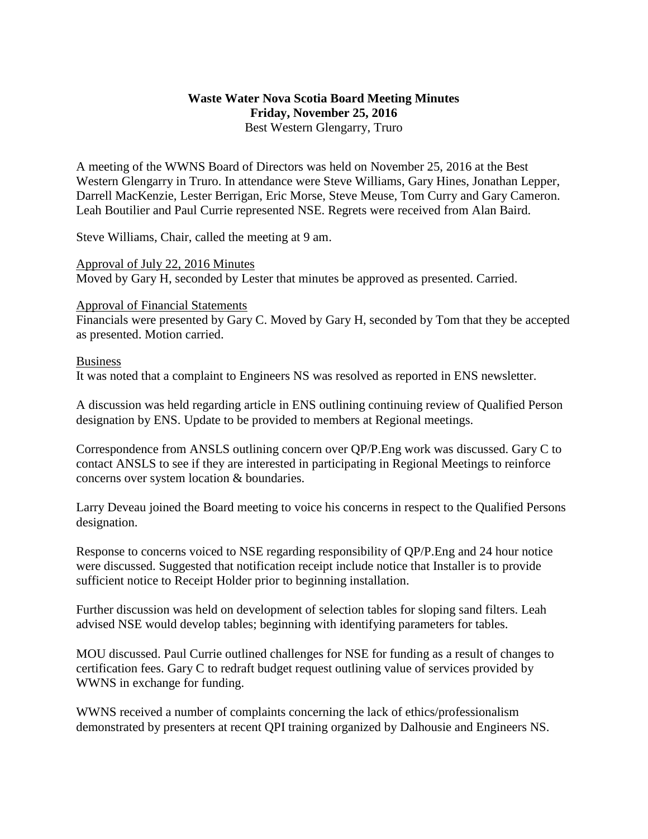## **Waste Water Nova Scotia Board Meeting Minutes Friday, November 25, 2016** Best Western Glengarry, Truro

A meeting of the WWNS Board of Directors was held on November 25, 2016 at the Best Western Glengarry in Truro. In attendance were Steve Williams, Gary Hines, Jonathan Lepper, Darrell MacKenzie, Lester Berrigan, Eric Morse, Steve Meuse, Tom Curry and Gary Cameron. Leah Boutilier and Paul Currie represented NSE. Regrets were received from Alan Baird.

Steve Williams, Chair, called the meeting at 9 am.

Approval of July 22, 2016 Minutes Moved by Gary H, seconded by Lester that minutes be approved as presented. Carried.

## Approval of Financial Statements

Financials were presented by Gary C. Moved by Gary H, seconded by Tom that they be accepted as presented. Motion carried.

## Business

It was noted that a complaint to Engineers NS was resolved as reported in ENS newsletter.

A discussion was held regarding article in ENS outlining continuing review of Qualified Person designation by ENS. Update to be provided to members at Regional meetings.

Correspondence from ANSLS outlining concern over QP/P.Eng work was discussed. Gary C to contact ANSLS to see if they are interested in participating in Regional Meetings to reinforce concerns over system location & boundaries.

Larry Deveau joined the Board meeting to voice his concerns in respect to the Qualified Persons designation.

Response to concerns voiced to NSE regarding responsibility of QP/P.Eng and 24 hour notice were discussed. Suggested that notification receipt include notice that Installer is to provide sufficient notice to Receipt Holder prior to beginning installation.

Further discussion was held on development of selection tables for sloping sand filters. Leah advised NSE would develop tables; beginning with identifying parameters for tables.

MOU discussed. Paul Currie outlined challenges for NSE for funding as a result of changes to certification fees. Gary C to redraft budget request outlining value of services provided by WWNS in exchange for funding.

WWNS received a number of complaints concerning the lack of ethics/professionalism demonstrated by presenters at recent QPI training organized by Dalhousie and Engineers NS.